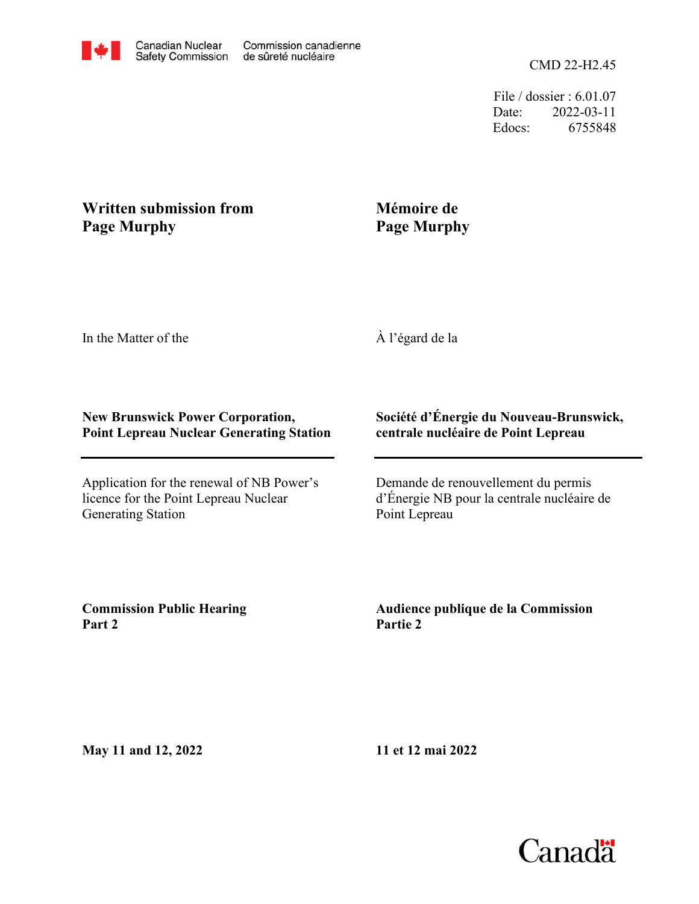File / dossier : 6.01.07 Date: 2022-03-11 Edocs: 6755848

## **Written submission from Page Murphy**

## **Mémoire de Page Murphy**

In the Matter of the

À l'égard de la

## **New Brunswick Power Corporation, Point Lepreau Nuclear Generating Station**

Application for the renewal of NB Power's licence for the Point Lepreau Nuclear Generating Station

## **Société d'Énergie du Nouveau-Brunswick, centrale nucléaire de Point Lepreau**

Demande de renouvellement du permis d'Énergie NB pour la centrale nucléaire de Point Lepreau

**Commission Public Hearing Part 2**

**Audience publique de la Commission Partie 2**

**May 11 and 12, 2022**

**11 et 12 mai 2022**

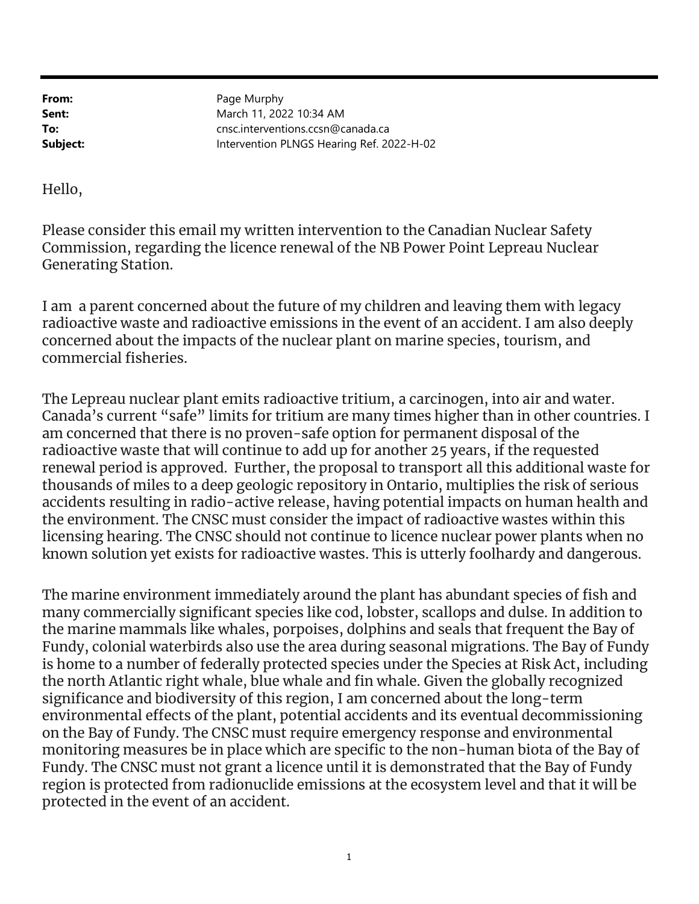From: Sent: To:

Subject: Intervention PLNGS Hearing Ref. 2022-H-02 cnsc.interventions.ccsn@canada.ca March 11, 2022 10:34 AM Page Murphy

Hello,

Generating Station. Commission, regarding the licence renewal of the NB Power Point Lepreau Nuclear Please consider this email my written intervention to the Canadian Nuclear Safety

commercial fisheries. concerned about the impacts of the nuclear plant on marine species, tourism, and radioactive waste and radioactive emissions in the event of an accident. I am also deeply I am a parent concerned about the future of my children and leaving them with legacy

known solution yet exists for radioactive wastes. This is utterly foolhardy and dangerous. licensing hearing. The CNSC should not continue to licence nuclear power plants when no the environment. The CNSC must consider the impact of radioactive wastes within this accidents resulting in radio-active release, having potential impacts on human health and thousands of miles to a deep geologic repository in Ontario, multiplies the risk of serious renewal period is approved. Further, the proposal to transport all this additional waste for radioactive waste that will continue to add up for another 25 years, if the requested am concerned that there is no proven-safe option for permanent disposal of the Canada's current "safe" limits for tritium are many times higher than in other countries. I The Lepreau nuclear plant emits radioactive tritium, a carcinogen, into air and water.

protected in the event of an accident. region is protected from radionuclide emissions at the ecosystem level and that it will be Fundy. The CNSC must not grant a licence until it is demonstrated that the Bay of Fundy monitoring measures be in place which are specific to the non-human biota of the Bay of on the Bay of Fundy. The CNSC must require emergency response and environmental environmental effects of the plant, potential accidents and its eventual decommissioning significance and biodiversity of this region, I am concerned about the long-term the north Atlantic right whale, blue whale and fin whale. Given the globally recognized is home to a number of federally protected species under the Species at Risk Act, including Fundy, colonial waterbirds also use the area during seasonal migrations. The Bay of Fundy the marine mammals like whales, porpoises, dolphins and seals that frequent the Bay of many commercially significant species like cod, lobster, scallops and dulse. In addition to The marine environment immediately around the plant has abundant species of fish and